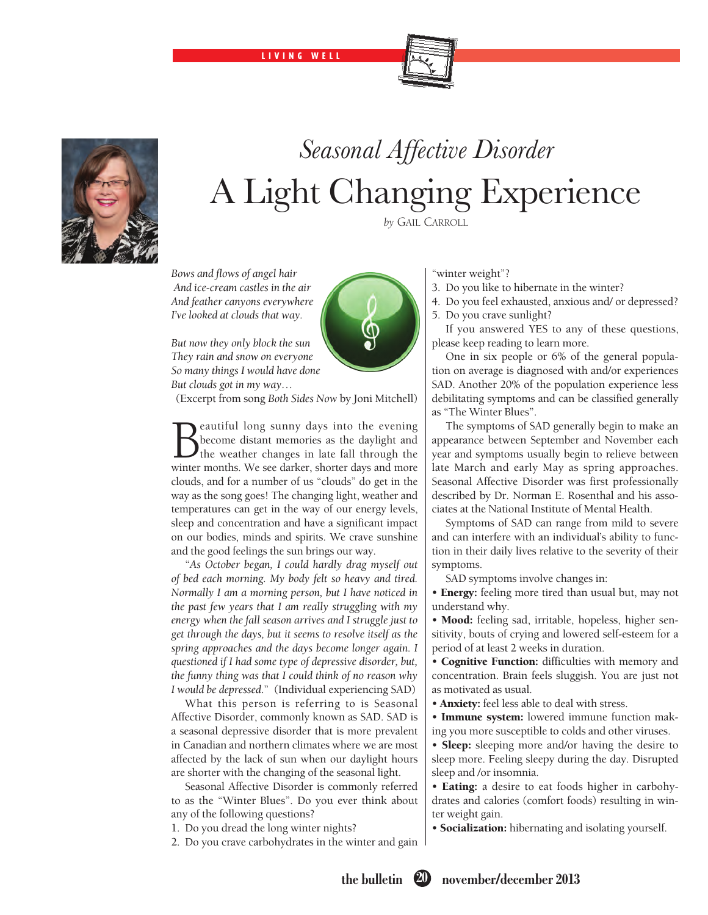LIVING WELL



# *Seasonal Affective Disorder* A Light Changing Experience

*by* Gail Carroll

*Bows and flows of angel hair And ice-cream castles in the air And feather canyons everywhere I've looked at clouds that way.*

*But now they only block the sun They rain and snow on everyone So many things I would have done But clouds got in my way…*



(Excerpt from song *Both Sides Now* by Joni Mitchell)

**B**eautiful long sunny days into the evening<br>become distant memories as the daylight and<br>winter months We see darker, shorter days and more become distant memories as the daylight and the weather changes in late fall through the winter months. We see darker, shorter days and more clouds, and for a number of us "clouds" do get in the way as the song goes! The changing light, weather and temperatures can get in the way of our energy levels, sleep and concentration and have a significant impact on our bodies, minds and spirits. We crave sunshine and the good feelings the sun brings our way.

"*As October began, I could hardly drag myself out of bed each morning. My body felt so heavy and tired. Normally I am a morning person, but I have noticed in the past few years that I am really struggling with my energy when the fall season arrives and I struggle just to get through the days, but it seems to resolve itself as the spring approaches and the days become longer again. I questioned if I had some type of depressive disorder, but, the funny thing was that I could think of no reason why I would be depressed*." (Individual experiencing SAD)

What this person is referring to is Seasonal Affective Disorder, commonly known as SAD. SAD is a seasonal depressive disorder that is more prevalent in Canadian and northern climates where we are most affected by the lack of sun when our daylight hours are shorter with the changing of the seasonal light.

Seasonal Affective Disorder is commonly referred to as the "Winter Blues". Do you ever think about any of the following questions?

1. Do you dread the long winter nights?

2. Do you crave carbohydrates in the winter and gain

"winter weight"?

3. Do you like to hibernate in the winter?

4. Do you feel exhausted, anxious and/ or depressed? 5. Do you crave sunlight?

If you answered YES to any of these questions, please keep reading to learn more.

One in six people or 6% of the general population on average is diagnosed with and/or experiences SAD. Another 20% of the population experience less debilitating symptoms and can be classified generally as "The Winter Blues".

The symptoms of SAD generally begin to make an appearance between September and November each year and symptoms usually begin to relieve between late March and early May as spring approaches. Seasonal Affective Disorder was first professionally described by Dr. Norman E. Rosenthal and his associates at the National Institute of Mental Health.

Symptoms of SAD can range from mild to severe and can interfere with an individual's ability to function in their daily lives relative to the severity of their symptoms.

SAD symptoms involve changes in:

• Energy: feeling more tired than usual but, may not understand why.

• Mood: feeling sad, irritable, hopeless, higher sensitivity, bouts of crying and lowered self-esteem for a period of at least 2 weeks in duration.

• Cognitive Function: difficulties with memory and concentration. Brain feels sluggish. You are just not as motivated as usual.

• Anxiety: feel less able to deal with stress.

• Immune system: lowered immune function making you more susceptible to colds and other viruses.

• Sleep: sleeping more and/or having the desire to sleep more. Feeling sleepy during the day. Disrupted sleep and /or insomnia.

• Eating: a desire to eat foods higher in carbohydrates and calories (comfort foods) resulting in winter weight gain.

• Socialization: hibernating and isolating yourself.